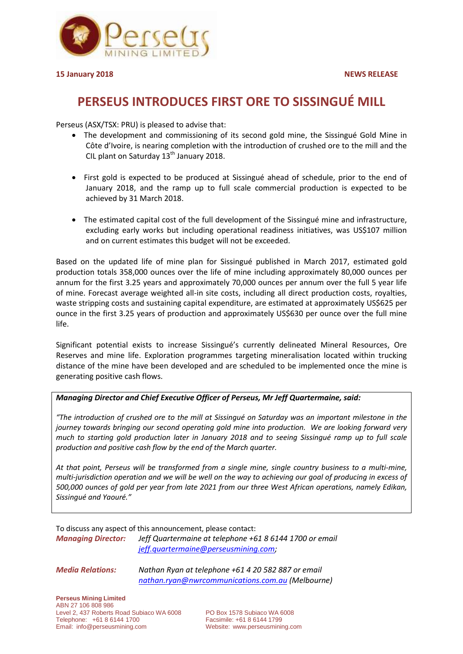

## **PERSEUS INTRODUCES FIRST ORE TO SISSINGUÉ MILL**

Perseus (ASX/TSX: PRU) is pleased to advise that:

- The development and commissioning of its second gold mine, the Sissingué Gold Mine in Côte d'Ivoire, is nearing completion with the introduction of crushed ore to the mill and the CIL plant on Saturday  $13<sup>th</sup>$  January 2018.
- First gold is expected to be produced at Sissingué ahead of schedule, prior to the end of January 2018, and the ramp up to full scale commercial production is expected to be achieved by 31 March 2018.
- The estimated capital cost of the full development of the Sissingué mine and infrastructure, excluding early works but including operational readiness initiatives, was US\$107 million and on current estimates this budget will not be exceeded.

Based on the updated life of mine plan for Sissingué published in March 2017, estimated gold production totals 358,000 ounces over the life of mine including approximately 80,000 ounces per annum for the first 3.25 years and approximately 70,000 ounces per annum over the full 5 year life of mine. Forecast average weighted all-in site costs, including all direct production costs, royalties, waste stripping costs and sustaining capital expenditure, are estimated at approximately US\$625 per ounce in the first 3.25 years of production and approximately US\$630 per ounce over the full mine life.

Significant potential exists to increase Sissingué's currently delineated Mineral Resources, Ore Reserves and mine life. Exploration programmes targeting mineralisation located within trucking distance of the mine have been developed and are scheduled to be implemented once the mine is generating positive cash flows.

## *Managing Director and Chief Executive Officer of Perseus, Mr Jeff Quartermaine, said:*

*"The introduction of crushed ore to the mill at Sissingué on Saturday was an important milestone in the journey towards bringing our second operating gold mine into production. We are looking forward very much to starting gold production later in January 2018 and to seeing Sissingué ramp up to full scale production and positive cash flow by the end of the March quarter.* 

*At that point, Perseus will be transformed from a single mine, single country business to a multi-mine, multi-jurisdiction operation and we will be well on the way to achieving our goal of producing in excess of 500,000 ounces of gold per year from late 2021 from our three West African operations, namely Edikan, Sissingué and Yaouré."*

To discuss any aspect of this announcement, please contact: *Managing Director: Jeff Quartermaine at telephone +61 8 6144 1700 or email* 

*[jeff.quartermaine@perseusmining.com;](mailto:jeff.quartermaine@perseusmining.com)*

*Media Relations: Nathan Ryan at telephone +61 4 20 582 887 or email [nathan.ryan@nwrcommunications.com.au](mailto:nathan.ryan@nwrcommunications.com) (Melbourne)*

**Perseus Mining Limited** ABN 27 106 808 986 Level 2, 437 Roberts Road Subiaco WA 6008 PO Box 1578 Subiaco WA 6008 Telephone: +61 8 6144 1700 Facsimile: +61 8 6144 1799 Email: [info@perseusmining.com](mailto:info@afminex.com) Website: [www.perseusmining.com](http://www.perseusmining.com/)